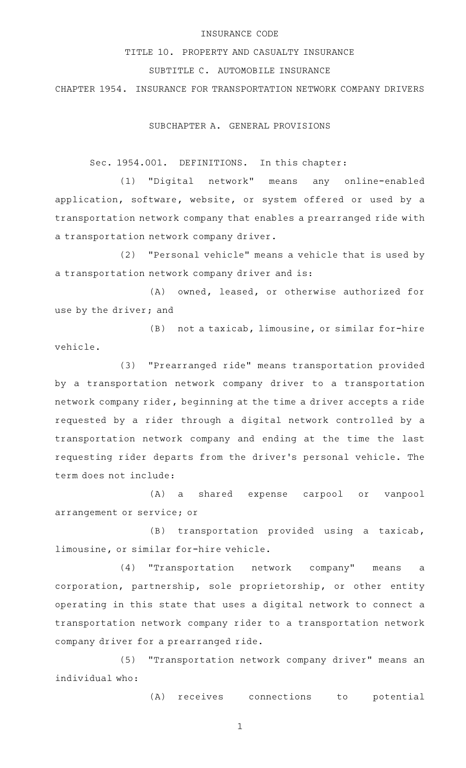## INSURANCE CODE

TITLE 10. PROPERTY AND CASUALTY INSURANCE

## SUBTITLE C. AUTOMOBILE INSURANCE

CHAPTER 1954. INSURANCE FOR TRANSPORTATION NETWORK COMPANY DRIVERS

SUBCHAPTER A. GENERAL PROVISIONS

Sec. 1954.001. DEFINITIONS. In this chapter:

(1) "Digital network" means any online-enabled application, software, website, or system offered or used by a transportation network company that enables a prearranged ride with a transportation network company driver.

(2) "Personal vehicle" means a vehicle that is used by a transportation network company driver and is:

(A) owned, leased, or otherwise authorized for use by the driver; and

 $(B)$  not a taxicab, limousine, or similar for-hire vehicle.

(3) "Prearranged ride" means transportation provided by a transportation network company driver to a transportation network company rider, beginning at the time a driver accepts a ride requested by a rider through a digital network controlled by a transportation network company and ending at the time the last requesting rider departs from the driver 's personal vehicle. The term does not include:

(A) a shared expense carpool or vanpool arrangement or service; or

(B) transportation provided using a taxicab, limousine, or similar for-hire vehicle.

(4) "Transportation network company" means a corporation, partnership, sole proprietorship, or other entity operating in this state that uses a digital network to connect a transportation network company rider to a transportation network company driver for a prearranged ride.

(5) "Transportation network company driver" means an individual who:

(A) receives connections to potential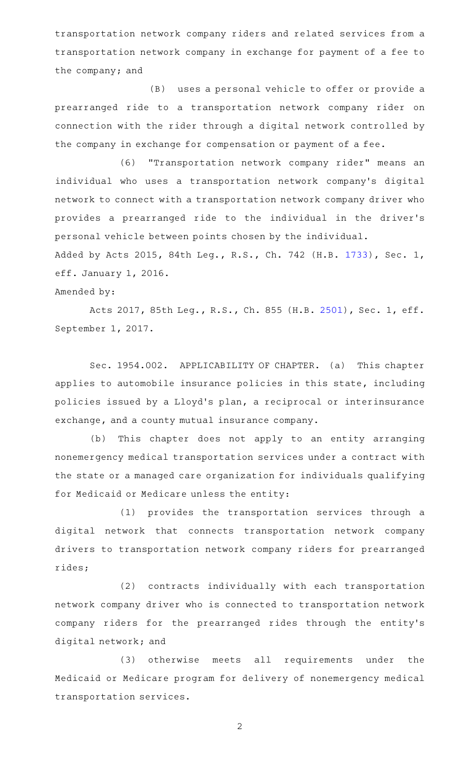transportation network company riders and related services from a transportation network company in exchange for payment of a fee to the company; and

(B) uses a personal vehicle to offer or provide a prearranged ride to a transportation network company rider on connection with the rider through a digital network controlled by the company in exchange for compensation or payment of a fee.

(6) "Transportation network company rider" means an individual who uses a transportation network company 's digital network to connect with a transportation network company driver who provides a prearranged ride to the individual in the driver 's personal vehicle between points chosen by the individual.

Added by Acts 2015, 84th Leg., R.S., Ch. 742 (H.B. [1733](http://www.legis.state.tx.us/tlodocs/84R/billtext/html/HB01733F.HTM)), Sec. 1, eff. January 1, 2016.

Amended by:

Acts 2017, 85th Leg., R.S., Ch. 855 (H.B. [2501](http://www.legis.state.tx.us/tlodocs/85R/billtext/html/HB02501F.HTM)), Sec. 1, eff. September 1, 2017.

Sec. 1954.002. APPLICABILITY OF CHAPTER. (a) This chapter applies to automobile insurance policies in this state, including policies issued by a Lloyd 's plan, a reciprocal or interinsurance exchange, and a county mutual insurance company.

(b) This chapter does not apply to an entity arranging nonemergency medical transportation services under a contract with the state or a managed care organization for individuals qualifying for Medicaid or Medicare unless the entity:

(1) provides the transportation services through a digital network that connects transportation network company drivers to transportation network company riders for prearranged rides;

(2) contracts individually with each transportation network company driver who is connected to transportation network company riders for the prearranged rides through the entity 's digital network; and

(3) otherwise meets all requirements under the Medicaid or Medicare program for delivery of nonemergency medical transportation services.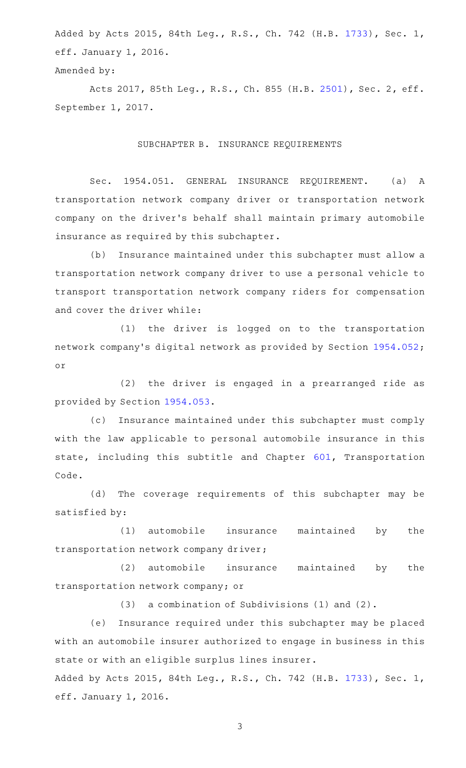Added by Acts 2015, 84th Leg., R.S., Ch. 742 (H.B. [1733](http://www.legis.state.tx.us/tlodocs/84R/billtext/html/HB01733F.HTM)), Sec. 1, eff. January 1, 2016.

Amended by:

Acts 2017, 85th Leg., R.S., Ch. 855 (H.B. [2501](http://www.legis.state.tx.us/tlodocs/85R/billtext/html/HB02501F.HTM)), Sec. 2, eff. September 1, 2017.

### SUBCHAPTER B. INSURANCE REQUIREMENTS

Sec. 1954.051. GENERAL INSURANCE REQUIREMENT. (a) A transportation network company driver or transportation network company on the driver 's behalf shall maintain primary automobile insurance as required by this subchapter.

(b) Insurance maintained under this subchapter must allow a transportation network company driver to use a personal vehicle to transport transportation network company riders for compensation and cover the driver while:

(1) the driver is logged on to the transportation network company 's digital network as provided by Section [1954.052](http://www.statutes.legis.state.tx.us/GetStatute.aspx?Code=IN&Value=1954.052); or

(2) the driver is engaged in a prearranged ride as provided by Section [1954.053.](http://www.statutes.legis.state.tx.us/GetStatute.aspx?Code=IN&Value=1954.053)

(c) Insurance maintained under this subchapter must comply with the law applicable to personal automobile insurance in this state, including this subtitle and Chapter [601,](http://www.statutes.legis.state.tx.us/GetStatute.aspx?Code=TN&Value=601) Transportation Code.

(d) The coverage requirements of this subchapter may be satisfied by:

(1) automobile insurance maintained by the transportation network company driver;

 $(2)$  automobile insurance maintained by the transportation network company; or

 $(3)$  a combination of Subdivisions (1) and (2).

(e) Insurance required under this subchapter may be placed with an automobile insurer authorized to engage in business in this state or with an eligible surplus lines insurer.

Added by Acts 2015, 84th Leg., R.S., Ch. 742 (H.B. [1733](http://www.legis.state.tx.us/tlodocs/84R/billtext/html/HB01733F.HTM)), Sec. 1, eff. January 1, 2016.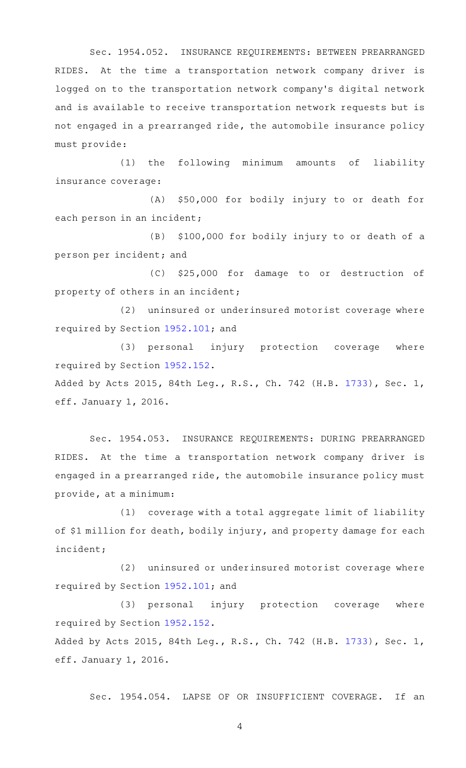Sec. 1954.052. INSURANCE REQUIREMENTS: BETWEEN PREARRANGED RIDES. At the time a transportation network company driver is logged on to the transportation network company 's digital network and is available to receive transportation network requests but is not engaged in a prearranged ride, the automobile insurance policy must provide:

(1) the following minimum amounts of liability insurance coverage:

(A) \$50,000 for bodily injury to or death for each person in an incident;

(B) \$100,000 for bodily injury to or death of a person per incident; and

(C) \$25,000 for damage to or destruction of property of others in an incident;

(2) uninsured or underinsured motorist coverage where required by Section [1952.101;](http://www.statutes.legis.state.tx.us/GetStatute.aspx?Code=IN&Value=1952.101) and

(3) personal injury protection coverage where required by Section [1952.152.](http://www.statutes.legis.state.tx.us/GetStatute.aspx?Code=IN&Value=1952.152) Added by Acts 2015, 84th Leg., R.S., Ch. 742 (H.B. [1733](http://www.legis.state.tx.us/tlodocs/84R/billtext/html/HB01733F.HTM)), Sec. 1,

eff. January 1, 2016.

Sec. 1954.053. INSURANCE REQUIREMENTS: DURING PREARRANGED RIDES. At the time a transportation network company driver is engaged in a prearranged ride, the automobile insurance policy must provide, at a minimum:

 $(1)$  coverage with a total aggregate limit of liability of \$1 million for death, bodily injury, and property damage for each incident;

(2) uninsured or underinsured motorist coverage where required by Section [1952.101;](http://www.statutes.legis.state.tx.us/GetStatute.aspx?Code=IN&Value=1952.101) and

(3) personal injury protection coverage where required by Section [1952.152.](http://www.statutes.legis.state.tx.us/GetStatute.aspx?Code=IN&Value=1952.152)

Added by Acts 2015, 84th Leg., R.S., Ch. 742 (H.B. [1733](http://www.legis.state.tx.us/tlodocs/84R/billtext/html/HB01733F.HTM)), Sec. 1, eff. January 1, 2016.

Sec. 1954.054. LAPSE OF OR INSUFFICIENT COVERAGE. If an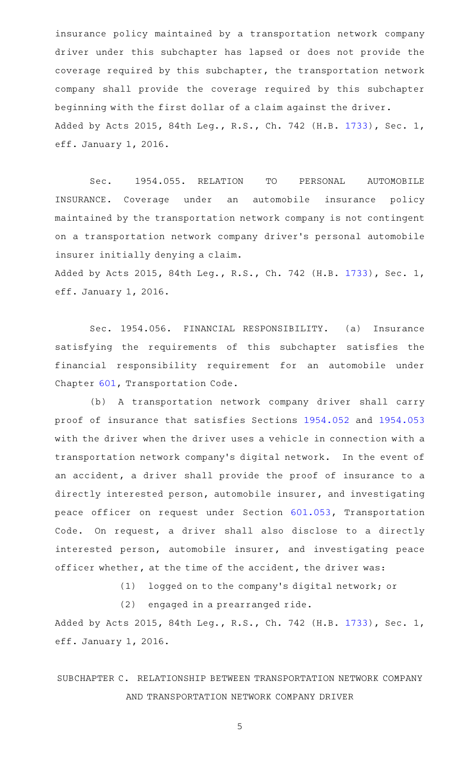insurance policy maintained by a transportation network company driver under this subchapter has lapsed or does not provide the coverage required by this subchapter, the transportation network company shall provide the coverage required by this subchapter beginning with the first dollar of a claim against the driver. Added by Acts 2015, 84th Leg., R.S., Ch. 742 (H.B. [1733](http://www.legis.state.tx.us/tlodocs/84R/billtext/html/HB01733F.HTM)), Sec. 1, eff. January 1, 2016.

Sec. 1954.055. RELATION TO PERSONAL AUTOMOBILE INSURANCE. Coverage under an automobile insurance policy maintained by the transportation network company is not contingent on a transportation network company driver 's personal automobile insurer initially denying a claim.

Added by Acts 2015, 84th Leg., R.S., Ch. 742 (H.B. [1733](http://www.legis.state.tx.us/tlodocs/84R/billtext/html/HB01733F.HTM)), Sec. 1, eff. January 1, 2016.

Sec. 1954.056. FINANCIAL RESPONSIBILITY. (a) Insurance satisfying the requirements of this subchapter satisfies the financial responsibility requirement for an automobile under Chapter [601,](http://www.statutes.legis.state.tx.us/GetStatute.aspx?Code=TN&Value=601) Transportation Code.

(b) A transportation network company driver shall carry proof of insurance that satisfies Sections [1954.052](http://www.statutes.legis.state.tx.us/GetStatute.aspx?Code=IN&Value=1954.052) and [1954.053](http://www.statutes.legis.state.tx.us/GetStatute.aspx?Code=IN&Value=1954.053) with the driver when the driver uses a vehicle in connection with a transportation network company's digital network. In the event of an accident, a driver shall provide the proof of insurance to a directly interested person, automobile insurer, and investigating peace officer on request under Section [601.053,](http://www.statutes.legis.state.tx.us/GetStatute.aspx?Code=TN&Value=601.053) Transportation Code. On request, a driver shall also disclose to a directly interested person, automobile insurer, and investigating peace officer whether, at the time of the accident, the driver was:

 $(1)$  logged on to the company's digital network; or

 $(2)$  engaged in a prearranged ride.

Added by Acts 2015, 84th Leg., R.S., Ch. 742 (H.B. [1733](http://www.legis.state.tx.us/tlodocs/84R/billtext/html/HB01733F.HTM)), Sec. 1, eff. January 1, 2016.

# SUBCHAPTER C. RELATIONSHIP BETWEEN TRANSPORTATION NETWORK COMPANY AND TRANSPORTATION NETWORK COMPANY DRIVER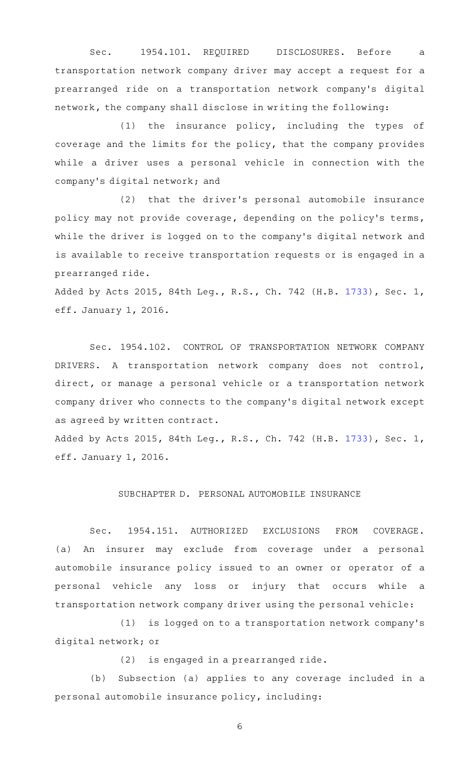Sec. 1954.101. REQUIRED DISCLOSURES. Before a transportation network company driver may accept a request for a prearranged ride on a transportation network company 's digital network, the company shall disclose in writing the following:

 $(1)$  the insurance policy, including the types of coverage and the limits for the policy, that the company provides while a driver uses a personal vehicle in connection with the company 's digital network; and

(2) that the driver's personal automobile insurance policy may not provide coverage, depending on the policy's terms, while the driver is logged on to the company 's digital network and is available to receive transportation requests or is engaged in a prearranged ride.

Added by Acts 2015, 84th Leg., R.S., Ch. 742 (H.B. [1733](http://www.legis.state.tx.us/tlodocs/84R/billtext/html/HB01733F.HTM)), Sec. 1, eff. January 1, 2016.

Sec. 1954.102. CONTROL OF TRANSPORTATION NETWORK COMPANY DRIVERS. A transportation network company does not control, direct, or manage a personal vehicle or a transportation network company driver who connects to the company 's digital network except as agreed by written contract.

Added by Acts 2015, 84th Leg., R.S., Ch. 742 (H.B. [1733](http://www.legis.state.tx.us/tlodocs/84R/billtext/html/HB01733F.HTM)), Sec. 1, eff. January 1, 2016.

### SUBCHAPTER D. PERSONAL AUTOMOBILE INSURANCE

Sec. 1954.151. AUTHORIZED EXCLUSIONS FROM COVERAGE. (a) An insurer may exclude from coverage under a personal automobile insurance policy issued to an owner or operator of a personal vehicle any loss or injury that occurs while a transportation network company driver using the personal vehicle:

(1) is logged on to a transportation network company's digital network; or

 $(2)$  is engaged in a prearranged ride.

(b) Subsection (a) applies to any coverage included in a personal automobile insurance policy, including: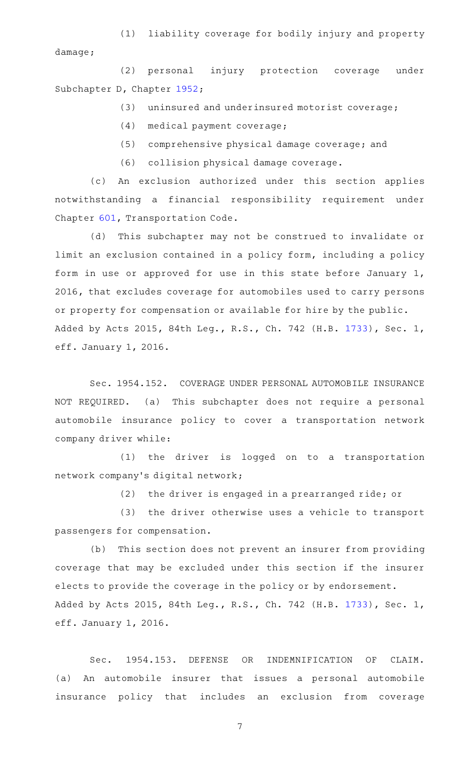(1) liability coverage for bodily injury and property damage;

(2) personal injury protection coverage under Subchapter D, Chapter [1952;](http://www.statutes.legis.state.tx.us/GetStatute.aspx?Code=IN&Value=1952)

(3) uninsured and underinsured motorist coverage;

- (4) medical payment coverage;
- (5) comprehensive physical damage coverage; and
- (6) collision physical damage coverage.

(c) An exclusion authorized under this section applies notwithstanding a financial responsibility requirement under Chapter [601,](http://www.statutes.legis.state.tx.us/GetStatute.aspx?Code=TN&Value=601) Transportation Code.

(d) This subchapter may not be construed to invalidate or limit an exclusion contained in a policy form, including a policy form in use or approved for use in this state before January 1, 2016, that excludes coverage for automobiles used to carry persons or property for compensation or available for hire by the public. Added by Acts 2015, 84th Leg., R.S., Ch. 742 (H.B. [1733](http://www.legis.state.tx.us/tlodocs/84R/billtext/html/HB01733F.HTM)), Sec. 1, eff. January 1, 2016.

Sec. 1954.152. COVERAGE UNDER PERSONAL AUTOMOBILE INSURANCE NOT REQUIRED. (a) This subchapter does not require a personal automobile insurance policy to cover a transportation network company driver while:

(1) the driver is logged on to a transportation network company 's digital network;

 $(2)$  the driver is engaged in a prearranged ride; or

(3) the driver otherwise uses a vehicle to transport passengers for compensation.

(b) This section does not prevent an insurer from providing coverage that may be excluded under this section if the insurer elects to provide the coverage in the policy or by endorsement. Added by Acts 2015, 84th Leg., R.S., Ch. 742 (H.B. [1733](http://www.legis.state.tx.us/tlodocs/84R/billtext/html/HB01733F.HTM)), Sec. 1, eff. January 1, 2016.

Sec. 1954.153. DEFENSE OR INDEMNIFICATION OF CLAIM. (a) An automobile insurer that issues a personal automobile insurance policy that includes an exclusion from coverage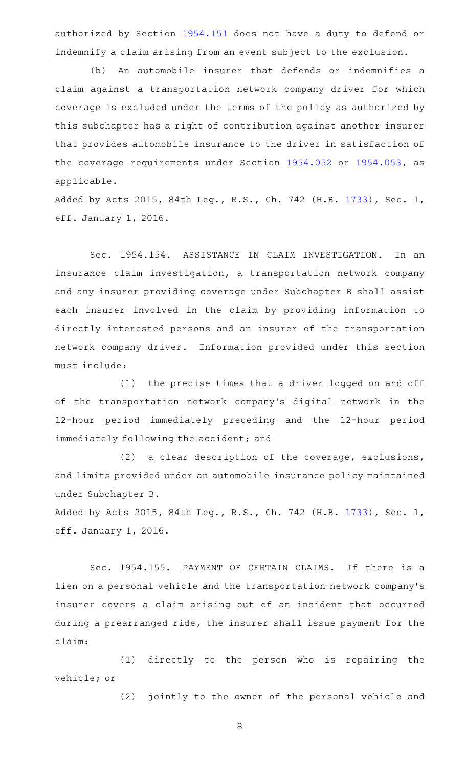authorized by Section [1954.151](http://www.statutes.legis.state.tx.us/GetStatute.aspx?Code=IN&Value=1954.151) does not have a duty to defend or indemnify a claim arising from an event subject to the exclusion.

(b) An automobile insurer that defends or indemnifies a claim against a transportation network company driver for which coverage is excluded under the terms of the policy as authorized by this subchapter has a right of contribution against another insurer that provides automobile insurance to the driver in satisfaction of the coverage requirements under Section [1954.052](http://www.statutes.legis.state.tx.us/GetStatute.aspx?Code=IN&Value=1954.052) or [1954.053](http://www.statutes.legis.state.tx.us/GetStatute.aspx?Code=IN&Value=1954.053), as applicable.

Added by Acts 2015, 84th Leg., R.S., Ch. 742 (H.B. [1733](http://www.legis.state.tx.us/tlodocs/84R/billtext/html/HB01733F.HTM)), Sec. 1, eff. January 1, 2016.

Sec. 1954.154. ASSISTANCE IN CLAIM INVESTIGATION. In an insurance claim investigation, a transportation network company and any insurer providing coverage under Subchapter B shall assist each insurer involved in the claim by providing information to directly interested persons and an insurer of the transportation network company driver. Information provided under this section must include:

(1) the precise times that a driver logged on and off of the transportation network company 's digital network in the 12-hour period immediately preceding and the 12-hour period immediately following the accident; and

(2) a clear description of the coverage, exclusions, and limits provided under an automobile insurance policy maintained under Subchapter B.

Added by Acts 2015, 84th Leg., R.S., Ch. 742 (H.B. [1733](http://www.legis.state.tx.us/tlodocs/84R/billtext/html/HB01733F.HTM)), Sec. 1, eff. January 1, 2016.

Sec. 1954.155. PAYMENT OF CERTAIN CLAIMS. If there is a lien on a personal vehicle and the transportation network company 's insurer covers a claim arising out of an incident that occurred during a prearranged ride, the insurer shall issue payment for the claim:

(1) directly to the person who is repairing the vehicle; or

(2) jointly to the owner of the personal vehicle and